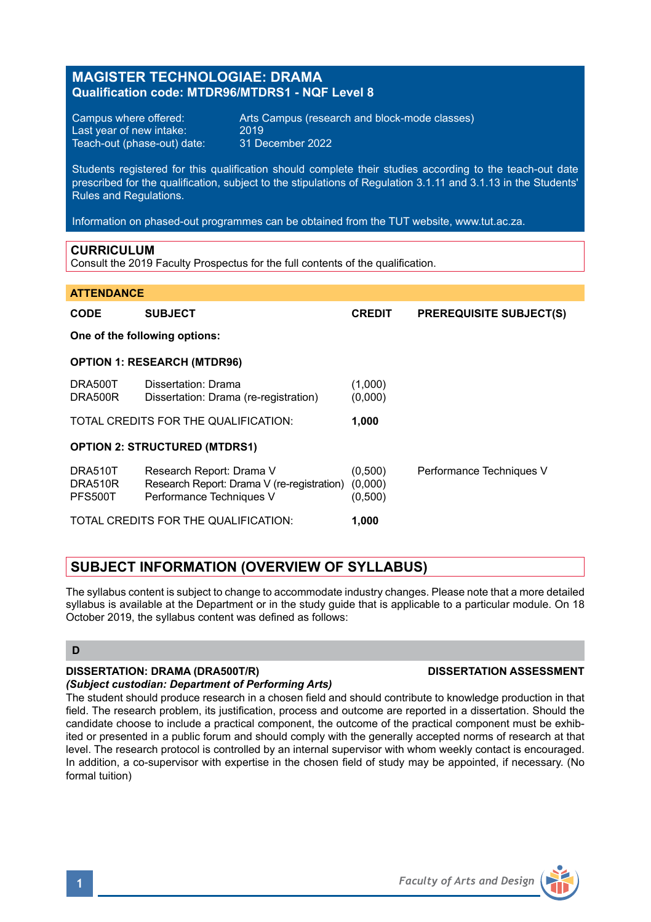## **MAGISTER TECHNOLOGIAE: DRAMA Qualification code: MTDR96/MTDRS1 - NQF Level 8**

Last year of new intake: 2019<br>Teach-out (phase-out) date: 31 December 2022 Teach-out (phase-out) date:

Campus where offered: <br>
Last vear of new intake: 2019<br>
2019

Students registered for this qualification should complete their studies according to the teach-out date prescribed for the qualification, subject to the stipulations of Regulation 3.1.11 and 3.1.13 in the Students' Rules and Regulations.

Information on phased-out programmes can be obtained from the TUT website, www.tut.ac.za.

### **CURRICULUM**

Consult the 2019 Faculty Prospectus for the full contents of the qualification.

# **ATTENDANCE**

| <b>CODE</b>                          | <b>SUBJECT</b>                                                                                     | <b>CREDIT</b>                 | <b>PREREQUISITE SUBJECT(S)</b> |
|--------------------------------------|----------------------------------------------------------------------------------------------------|-------------------------------|--------------------------------|
| One of the following options:        |                                                                                                    |                               |                                |
| <b>OPTION 1: RESEARCH (MTDR96)</b>   |                                                                                                    |                               |                                |
| DRA500T<br>DRA500R                   | Dissertation: Drama<br>Dissertation: Drama (re-registration)                                       | (1,000)<br>(0,000)            |                                |
|                                      | TOTAL CREDITS FOR THE QUALIFICATION:                                                               | 1.000                         |                                |
| <b>OPTION 2: STRUCTURED (MTDRS1)</b> |                                                                                                    |                               |                                |
| DRA510T<br>DRA510R<br><b>PFS500T</b> | Research Report: Drama V<br>Research Report: Drama V (re-registration)<br>Performance Techniques V | (0,500)<br>(0,000)<br>(0,500) | Performance Techniques V       |
| TOTAL CREDITS FOR THE QUALIFICATION: |                                                                                                    | 1.000                         |                                |

## **SUBJECT INFORMATION (OVERVIEW OF SYLLABUS)**

The syllabus content is subject to change to accommodate industry changes. Please note that a more detailed syllabus is available at the Department or in the study guide that is applicable to a particular module. On 18 October 2019, the syllabus content was defined as follows:

### **D**

## **DISSERTATION: DRAMA (DRA500T/R) DISSERTATION ASSESSMENT**

### *(Subject custodian: Department of Performing Arts)*

The student should produce research in a chosen field and should contribute to knowledge production in that field. The research problem, its justification, process and outcome are reported in a dissertation. Should the candidate choose to include a practical component, the outcome of the practical component must be exhibited or presented in a public forum and should comply with the generally accepted norms of research at that level. The research protocol is controlled by an internal supervisor with whom weekly contact is encouraged. In addition, a co-supervisor with expertise in the chosen field of study may be appointed, if necessary. (No formal tuition)